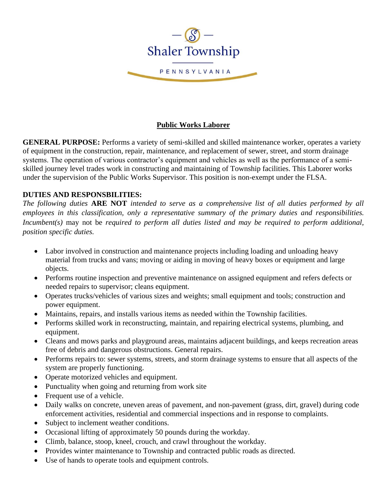

# **Public Works Laborer**

**GENERAL PURPOSE:** Performs a variety of semi-skilled and skilled maintenance worker, operates a variety of equipment in the construction, repair, maintenance, and replacement of sewer, street, and storm drainage systems. The operation of various contractor's equipment and vehicles as well as the performance of a semiskilled journey level trades work in constructing and maintaining of Township facilities. This Laborer works under the supervision of the Public Works Supervisor. This position is non-exempt under the FLSA.

# **DUTIES AND RESPONSBILITIES:**

*The following duties* **ARE NOT** *intended to serve as a comprehensive list of all duties performed by all employees in this classification, only a representative summary of the primary duties and responsibilities. Incumbent(s)* may not be *required to perform all duties listed and may be required to perform additional, position specific duties.*

- Labor involved in construction and maintenance projects including loading and unloading heavy material from trucks and vans; moving or aiding in moving of heavy boxes or equipment and large objects.
- Performs routine inspection and preventive maintenance on assigned equipment and refers defects or needed repairs to supervisor; cleans equipment.
- Operates trucks/vehicles of various sizes and weights; small equipment and tools; construction and power equipment.
- Maintains, repairs, and installs various items as needed within the Township facilities.
- Performs skilled work in reconstructing, maintain, and repairing electrical systems, plumbing, and equipment.
- Cleans and mows parks and playground areas, maintains adjacent buildings, and keeps recreation areas free of debris and dangerous obstructions. General repairs.
- Performs repairs to: sewer systems, streets, and storm drainage systems to ensure that all aspects of the system are properly functioning.
- Operate motorized vehicles and equipment.
- Punctuality when going and returning from work site
- Frequent use of a vehicle.
- Daily walks on concrete, uneven areas of pavement, and non-pavement (grass, dirt, gravel) during code enforcement activities, residential and commercial inspections and in response to complaints.
- Subject to inclement weather conditions.
- Occasional lifting of approximately 50 pounds during the workday.
- Climb, balance, stoop, kneel, crouch, and crawl throughout the workday.
- Provides winter maintenance to Township and contracted public roads as directed.
- Use of hands to operate tools and equipment controls.